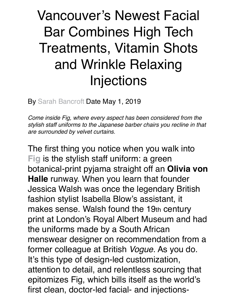## Vancouver's Newest Facial Bar Combines High Tech Treatments, Vitamin Shots and Wrinkle Relaxing Injections

By [Sarah Bancroft](https://fashionmagazine.com/author/sbancroft/) Date May 1, 2019

*Come inside Fig, where every aspect has been considered from the stylish staff uniforms to the Japanese barber chairs you recline in that are surrounded by velvet curtains.*

The first thing you notice when you walk into **[Fig](https://www.instagram.com/fig_face/)** is the stylish staff uniform: a green botanical-print pyjama straight off an **Olivia von Halle** runway. When you learn that founder Jessica Walsh was once the legendary British fashion stylist Isabella Blow's assistant, it makes sense. Walsh found the 19th century print at London's Royal Albert Museum and had the uniforms made by a South African menswear designer on recommendation from a former colleague at British *Vogue*. As you do. It's this type of design-led customization, attention to detail, and relentless sourcing that epitomizes Fig, which bills itself as the world's first clean, doctor-led facial- and injections-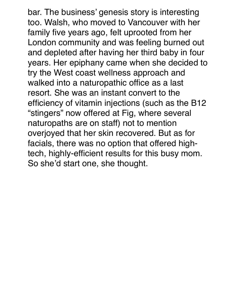bar. The business' genesis story is interesting too. Walsh, who moved to Vancouver with her family five years ago, felt uprooted from her London community and was feeling burned out and depleted after having her third baby in four years. Her epiphany came when she decided to try the West coast wellness approach and walked into a naturopathic office as a last resort. She was an instant convert to the efficiency of vitamin injections (such as the B12 "stingers" now offered at Fig, where several naturopaths are on staff) not to mention overjoyed that her skin recovered. But as for facials, there was no option that offered hightech, highly-efficient results for this busy mom. So she'd start one, she thought.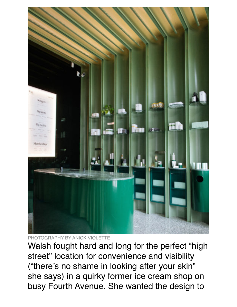

PHOTOGRAPHY BY ANICK VIOLETTE

Walsh fought hard and long for the perfect "high street" location for convenience and visibility ("there's no shame in looking after your skin" she says) in a quirky former ice cream shop on busy Fourth Avenue. She wanted the design to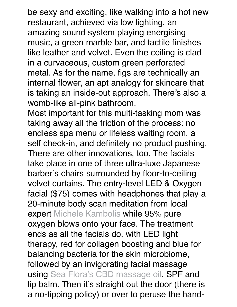be sexy and exciting, like walking into a hot new restaurant, achieved via low lighting, an amazing sound system playing energising music, a green marble bar, and tactile finishes like leather and velvet. Even the ceiling is clad in a curvaceous, custom green perforated metal. As for the name, figs are technically an internal flower, an apt analogy for skincare that is taking an inside-out approach. There's also a womb-like all-pink bathroom.

Most important for this multi-tasking mom was taking away all the friction of the process: no endless spa menu or lifeless waiting room, a self check-in, and definitely no product pushing. There are other innovations, too. The facials take place in one of three ultra-luxe Japanese barber's chairs surrounded by floor-to-ceiling velvet curtains. The entry-level LED & Oxygen facial (\$75) comes with headphones that play a 20-minute body scan meditation from local expert [Michele Kambolis](https://michelekambolis.com/) while 95% pure oxygen blows onto your face. The treatment ends as all the facials do, with LED light therapy, red for collagen boosting and blue for balancing bacteria for the skin microbiome, followed by an invigorating facial massage using [Sea Flora's CBD massage oil,](https://seafloraskincare.com/product/sea-silk-cbd-massage-oil/) SPF and lip balm. Then it's straight out the door (there is a no-tipping policy) or over to peruse the hand